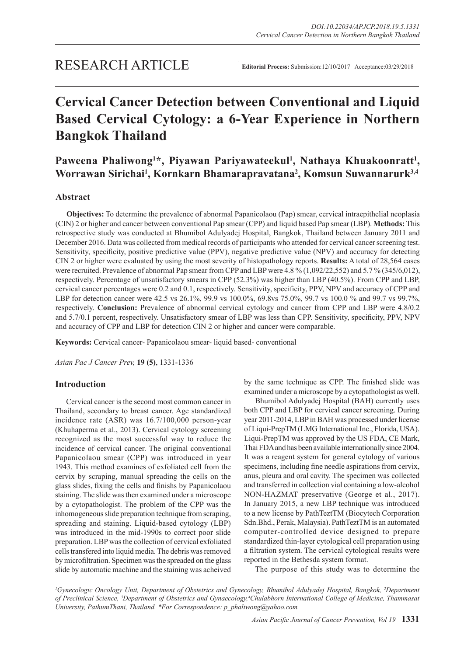# **Cervical Cancer Detection between Conventional and Liquid Based Cervical Cytology: a 6-Year Experience in Northern Bangkok Thailand**

Paweena Phaliwong<sup>1\*</sup>, Piyawan Pariyawateekul<sup>1</sup>, Nathaya Khuakoonratt<sup>1</sup>, **Worrawan Sirichai1 , Kornkarn Bhamarapravatana2 , Komsun Suwannarurk3,4**

### **Abstract**

**Objectives:** To determine the prevalence of abnormal Papanicolaou (Pap) smear, cervical intraepithelial neoplasia (CIN) 2 or higher and cancer between conventional Pap smear (CPP) and liquid based Pap smear (LBP). **Methods:** This retrospective study was conducted at Bhumibol Adulyadej Hospital, Bangkok, Thailand between January 2011 and December 2016. Data was collected from medical records of participants who attended for cervical cancer screening test. Sensitivity, specificity, positive predictive value (PPV), negative predictive value (NPV) and accuracy for detecting CIN 2 or higher were evaluated by using the most severity of histopathology reports. **Results:** A total of 28,564 cases were recruited. Prevalence of abnormal Pap smear from CPP and LBP were 4.8 % (1,092/22,552) and 5.7 % (345/6,012), respectively. Percentage of unsatisfactory smears in CPP (52.3%) was higher than LBP (40.5%). From CPP and LBP, cervical cancer percentages were 0.2 and 0.1, respectively. Sensitivity, specificity, PPV, NPV and accuracy of CPP and LBP for detection cancer were 42.5 vs 26.1%, 99.9 vs 100.0%, 69.8vs 75.0%, 99.7 vs 100.0 % and 99.7 vs 99.7%, respectively. **Conclusion:** Prevalence of abnormal cervical cytology and cancer from CPP and LBP were 4.8/0.2 and 5.7/0.1 percent, respectively. Unsatisfactory smear of LBP was less than CPP. Sensitivity, specificity, PPV, NPV and accuracy of CPP and LBP for detection CIN 2 or higher and cancer were comparable.

**Keywords:** Cervical cancer- Papanicolaou smear- liquid based- conventional

*Asian Pac J Cancer Prev,* **19 (5)**, 1331-1336

#### **Introduction**

Cervical cancer is the second most common cancer in Thailand, secondary to breast cancer. Age standardized incidence rate (ASR) was 16.7/100,000 person-year (Khuhaperma et al., 2013). Cervical cytology screening recognized as the most successful way to reduce the incidence of cervical cancer. The original conventional Papanicolaou smear (CPP) was introduced in year 1943. This method examines of exfoliated cell from the cervix by scraping, manual spreading the cells on the glass slides, fixing the cells and finishs by Papanicolaou staining. The slide was then examined under a microscope by a cytopathologist. The problem of the CPP was the inhomogeneous slide preparation technique from scraping, spreading and staining. Liquid-based cytology (LBP) was introduced in the mid-1990s to correct poor slide preparation. LBP was the collection of cervical exfoliated cells transfered into liquid media. The debris was removed by microfiltration. Specimen was the spreaded on the glass slide by automatic machine and the staining was acheived by the same technique as CPP. The finished slide was examined under a microscope by a cytopathologist as well.

Bhumibol Adulyadej Hospital (BAH) currently uses both CPP and LBP for cervical cancer screening. During year 2011-2014, LBP in BAH was processed under license of Liqui-PrepTM (LMG International Inc., Florida, USA). Liqui-PrepTM was approved by the US FDA, CE Mark, Thai FDA and has been available internationally since 2004. It was a reagent system for general cytology of various specimens, including fine needle aspirations from cervix, anus, pleura and oral cavity. The specimen was collected and transferred in collection vial containing a low-alcohol NON-HAZMAT preservative (George et al., 2017). In January 2015, a new LBP technique was introduced to a new license by PathTeztTM (Biocytech Corporation Sdn.Bhd., Perak, Malaysia). PathTeztTM is an automated computer-controlled device designed to prepare standardized thin-layer cytological cell preparation using a filtration system. The cervical cytological results were reported in the Bethesda system format.

The purpose of this study was to determine the

*1 Gynecologic Oncology Unit, Department of Obstetrics and Gynecology, Bhumibol Adulyadej Hospital, Bangkok, 2 Department of Preclinical Science, 3 Department of Obstetrics and Gynaecology,4 Chulabhorn International College of Medicine, Thammasat University, PathumThani, Thailand. \*For Correspondence: p\_phaliwong@yahoo.com*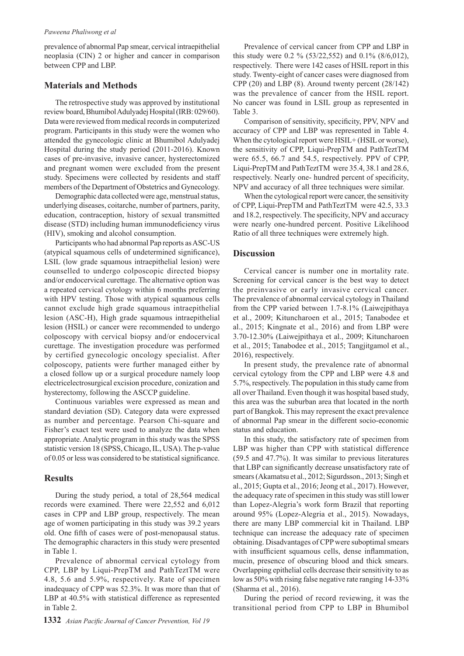prevalence of abnormal Pap smear, cervical intraepithelial neoplasia (CIN) 2 or higher and cancer in comparison between CPP and LBP.

#### **Materials and Methods**

The retrospective study was approved by institutional review board, Bhumibol Adulyadej Hospital (IRB: 029/60). Data were reviewed from medical records in computerized program. Participants in this study were the women who attended the gynecologic clinic at Bhumibol Adulyadej Hospital during the study period (2011-2016). Known cases of pre-invasive, invasive cancer, hysterectomized and pregnant women were excluded from the present study. Specimens were collected by residents and staff members of the Department of Obstetrics and Gynecology.

Demographic data collected were age, menstrual status, underlying diseases, coitarche, number of partners, parity, education, contraception, history of sexual transmitted disease (STD) including human immunodeficiency virus (HIV), smoking and alcohol consumption.

Participants who had abnormal Pap reports as ASC-US (atypical squamous cells of undetermined significance), LSIL (low grade squamous intraepithelial lesion) were counselled to undergo colposcopic directed biopsy and/or endocervical curettage. The alternative option was a repeated cervical cytology within 6 months preferring with HPV testing. Those with atypical squamous cells cannot exclude high grade squamous intraepithelial lesion (ASC-H), High grade squamous intraepithelial lesion (HSIL) or cancer were recommended to undergo colposcopy with cervical biopsy and/or endocervical curettage. The investigation procedure was performed by certified gynecologic oncology specialist. After colposcopy, patients were further managed either by a closed follow up or a surgical procedure namely loop electricelectrosurgical excision procedure, conization and hysterectomy, following the ASCCP guideline.

Continuous variables were expressed as mean and standard deviation (SD). Category data were expressed as number and percentage. Pearson Chi-square and Fisher's exact test were used to analyze the data when appropriate. Analytic program in this study was the SPSS statistic version 18 (SPSS, Chicago, IL, USA). The p-value of 0.05 or less was considered to be statistical significance.

### **Results**

During the study period, a total of 28,564 medical records were examined. There were 22,552 and 6,012 cases in CPP and LBP group, respectively. The mean age of women participating in this study was 39.2 years old. One fifth of cases were of post-menopausal status. The demographic characters in this study were presented in Table 1.

Prevalence of abnormal cervical cytology from CPP, LBP by Liqui-PrepTM and PathTeztTM were 4.8, 5.6 and 5.9%, respectively. Rate of specimen inadequacy of CPP was 52.3%. It was more than that of LBP at 40.5% with statistical difference as represented in Table 2.

Prevalence of cervical cancer from CPP and LBP in this study were 0.2 % (53/22,552) and 0.1% (8/6,012), respectively. There were 142 cases of HSIL report in this study. Twenty-eight of cancer cases were diagnosed from CPP (20) and LBP (8). Around twenty percent (28/142) was the prevalence of cancer from the HSIL report. No cancer was found in LSIL group as represented in Table 3.

Comparison of sensitivity, specificity, PPV, NPV and accuracy of CPP and LBP was represented in Table 4. When the cytological report were HSIL+ (HSIL or worse), the sensitivity of CPP, Liqui-PrepTM and PathTeztTM were 65.5, 66.7 and 54.5, respectively. PPV of CPP, Liqui-PrepTM and PathTeztTM were 35.4, 38.1 and 28.6, respectively. Nearly one- hundred percent of specificity, NPV and accuracy of all three techniques were similar.

When the cytological report were cancer, the sensitivity of CPP, Liqui-PrepTM and PathTeztTM were 42.5, 33.3 and 18.2, respectively. The specificity, NPV and accuracy were nearly one-hundred percent. Positive Likelihood Ratio of all three techniques were extremely high.

#### **Discussion**

Cervical cancer is number one in mortality rate. Screening for cervical cancer is the best way to detect the preinvasive or early invasive cervical cancer. The prevalence of abnormal cervical cytology in Thailand from the CPP varied between 1.7-8.1% (Laiwejpithaya et al., 2009; Kituncharoen et al., 2015; Tanabodee et al., 2015; Kingnate et al., 2016) and from LBP were 3.70-12.30% (Laiwejpithaya et al., 2009; Kituncharoen et al., 2015; Tanabodee et al., 2015; Tangjitgamol et al., 2016), respectively.

In present study, the prevalence rate of abnormal cervical cytology from the CPP and LBP were 4.8 and 5.7%, respectively. The population in this study came from all over Thailand. Even though it was hospital based study, this area was the suburban area that located in the north part of Bangkok. This may represent the exact prevalence of abnormal Pap smear in the different socio-economic status and education.

In this study, the satisfactory rate of specimen from LBP was higher than CPP with statistical difference (59.5 and 47.7%). It was similar to previous literatures that LBP can significantly decrease unsatisfactory rate of smears (Akamatsu et al., 2012; Sigurdsson., 2013; Singh et al., 2015; Gupta et al., 2016; Jeong et al., 2017). However, the adequacy rate of specimen in this study was still lower than Lopez-Alegria's work form Brazil that reporting around 95% (Lopez-Alegria et al., 2015). Nowadays, there are many LBP commercial kit in Thailand. LBP technique can increase the adequacy rate of specimen obtaining. Disadvantages of CPP were suboptimal smears with insufficient squamous cells, dense inflammation, mucin, presence of obscuring blood and thick smears. Overlapping epithelial cells decrease their sensitivity to as low as 50% with rising false negative rate ranging 14-33% (Sharma et al., 2016).

During the period of record reviewing, it was the transitional period from CPP to LBP in Bhumibol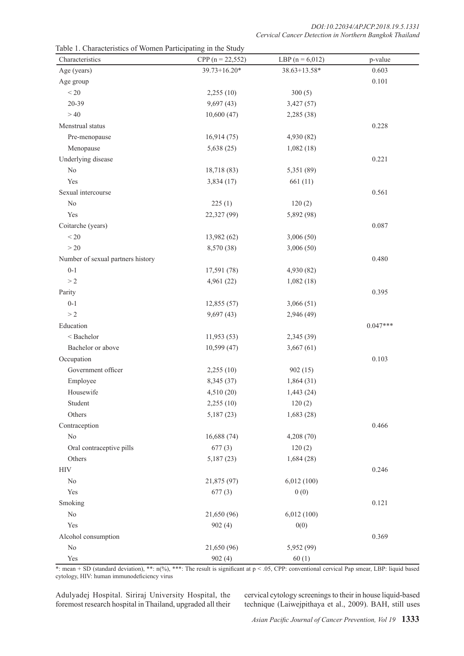| Characteristics                   | CPP ( $n = 22,552$ ) | LBP $(n = 6,012)$ | p-value    |
|-----------------------------------|----------------------|-------------------|------------|
| Age (years)                       | $39.73 + 16.20*$     | 38.63+13.58*      | 0.603      |
| Age group                         |                      |                   | 0.101      |
| $\leq 20$                         | 2,255(10)            | 300(5)            |            |
| 20-39                             | 9,697(43)            | 3,427(57)         |            |
| >40                               | 10,600(47)           | 2,285 (38)        |            |
| Menstrual status                  |                      |                   | 0.228      |
| Pre-menopause                     | 16,914(75)           | 4,930 (82)        |            |
| Menopause                         | 5,638(25)            | 1,082(18)         |            |
| Underlying disease                |                      |                   | 0.221      |
| $\rm No$                          | 18,718 (83)          | 5,351 (89)        |            |
| Yes                               | 3,834(17)            | 661(11)           |            |
| Sexual intercourse                |                      |                   | 0.561      |
| $\rm No$                          | 225(1)               | 120(2)            |            |
| Yes                               | 22,327 (99)          | 5,892 (98)        |            |
| Coitarche (years)                 |                      |                   | 0.087      |
| $< 20$                            | 13,982 (62)          | 3,006 (50)        |            |
| $>20$                             | 8,570 (38)           | 3,006 (50)        |            |
| Number of sexual partners history |                      |                   | 0.480      |
| $0 - 1$                           | 17,591 (78)          | 4,930 (82)        |            |
| >2                                | 4,961 (22)           | 1,082(18)         |            |
| Parity                            |                      |                   | 0.395      |
| $0 - 1$                           | 12,855(57)           | 3,066(51)         |            |
| >2                                | 9,697(43)            | 2,946 (49)        |            |
| Education                         |                      |                   | $0.047***$ |
| < Bachelor                        | 11,953(53)           | 2,345 (39)        |            |
| Bachelor or above                 | 10,599(47)           | 3,667(61)         |            |
| Occupation                        |                      |                   | 0.103      |
| Government officer                | 2,255(10)            | 902(15)           |            |
| Employee                          | 8,345 (37)           | 1,864(31)         |            |
| Housewife                         | 4,510 (20)           | 1,443(24)         |            |
| Student                           | 2,255(10)            | 120(2)            |            |
| Others                            | 5,187(23)            | 1,683(28)         |            |
| Contraception                     |                      |                   | 0.466      |
| $\rm No$                          | 16,688(74)           | 4,208 (70)        |            |
| Oral contraceptive pills          | 677(3)               | 120(2)            |            |
| Others                            | 5,187(23)            | 1,684(28)         |            |
| <b>HIV</b>                        |                      |                   | 0.246      |
| No                                | 21,875 (97)          | 6,012(100)        |            |
| Yes                               | 677(3)               | 0(0)              |            |
| Smoking                           |                      |                   | 0.121      |
| $\rm No$                          | 21,650 (96)          | 6,012(100)        |            |
| Yes                               | 902(4)               | 0(0)              |            |
| Alcohol consumption               |                      |                   | 0.369      |
| $\rm No$                          | 21,650 (96)          | 5,952 (99)        |            |
| Yes                               | 902(4)               | 60(1)             |            |

Table 1. Characteristics of Women Participating in the Study

\*: mean + SD (standard deviation), \*\*:  $n(\%)$ , \*\*\*: The result is significant at  $p < .05$ , CPP: conventional cervical Pap smear, LBP: liquid based cytology, HIV: human immunodeficiency virus

Adulyadej Hospital. Siriraj University Hospital, the foremost research hospital in Thailand, upgraded all their cervical cytology screenings to their in house liquid-based technique (Laiwejpithaya et al., 2009). BAH, still uses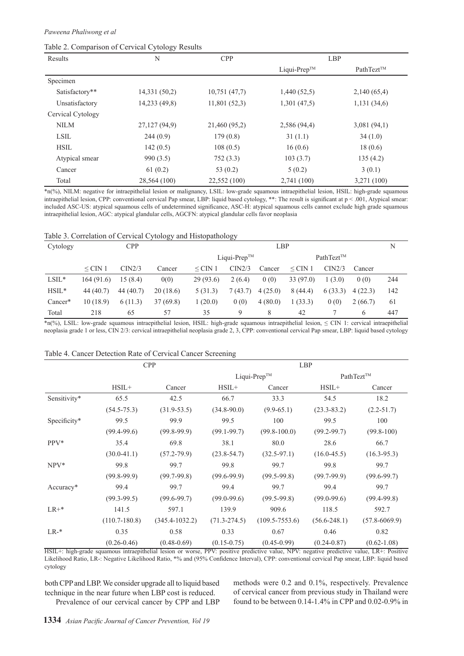#### Table 2. Comparison of Cervical Cytology Results

| Results           | N             | <b>CPP</b>    |                          | LBP         |
|-------------------|---------------|---------------|--------------------------|-------------|
|                   |               |               | Liqui-Prep <sup>TM</sup> | PathTezt™   |
| Specimen          |               |               |                          |             |
| Satisfactory**    | 14,331 (50,2) | 10,751(47,7)  | 1,440(52,5)              | 2,140(65,4) |
| Unsatisfactory    | 14,233 (49,8) | 11,801(52,3)  | 1,301(47,5)              | 1,131(34,6) |
| Cervical Cytology |               |               |                          |             |
| <b>NILM</b>       | 27,127 (94,9) | 21,460 (95,2) | 2,586 (94,4)             | 3,081(94,1) |
| <b>LSIL</b>       | 244(0.9)      | 179(0.8)      | 31(1.1)                  | 34(1.0)     |
| <b>HSIL</b>       | 142(0.5)      | 108(0.5)      | 16(0.6)                  | 18(0.6)     |
| Atypical smear    | 990 (3.5)     | 752 (3.3)     | 103(3.7)                 | 135(4.2)    |
| Cancer            | 61(0.2)       | 53 $(0.2)$    | 5(0.2)                   | 3(0.1)      |
| Total             | 28,564 (100)  | 22,552 (100)  | 2,741 (100)              | 3,271 (100) |

\*n(%), NILM: negative for intraepithelial lesion or malignancy, LSIL: low-grade squamous intraepithelial lesion, HSIL: high-grade squamous intraepithelial lesion, CPP: conventional cervical Pap smear, LBP: liquid based cytology, \*\*: The result is significant at p < .001, Atypical smear: included ASC-US: atypical squamous cells of undetermined significance, ASC-H: atypical squamous cells cannot exclude high grade squamous intraepithelial lesion, AGC: atypical glandular cells, AGCFN: atypical glandular cells favor neoplasia

|  |  |  |  |  | Table 3. Correlation of Cervical Cytology and Histopathology |  |
|--|--|--|--|--|--------------------------------------------------------------|--|
|--|--|--|--|--|--------------------------------------------------------------|--|

| Cytology | <b>CPP</b>   |           |          | LBP                      |        |                 |           | N       |         |     |
|----------|--------------|-----------|----------|--------------------------|--------|-----------------|-----------|---------|---------|-----|
|          |              |           |          | Liqui-Prep <sup>TM</sup> |        | $PathText^{TM}$ |           |         |         |     |
|          | $\leq$ CIN 1 | CIN2/3    | Cancer   | $\leq$ CIN 1             | CIN2/3 | Cancer          | $<$ CIN 1 | CIN2/3  | Cancer  |     |
| $LSIL*$  | 164(91.6)    | 15(8.4)   | 0(0)     | 29(93.6)                 | 2(6.4) | 0(0)            | 33 (97.0) | 1(3.0)  | 0(0)    | 244 |
| $HSIL*$  | 44(40.7)     | 44 (40.7) | 20(18.6) | 5(31.3)                  | (43.7) | 4(25.0)         | 8(44.4)   | 6(33.3) | 4(22.3) | 142 |
| Cancer*  | 10(18.9)     | 6(11.3)   | 37(69.8) | (20.0)                   | 0(0)   | 4(80.0)         | 1(33.3)   | 0(0)    | 2(66.7) | 61  |
| Total    | 218          | 65        | 57       | 35                       | 9      | 8               | 42        |         | 6       | 447 |

\*n(%), LSIL: low-grade squamous intraepithelial lesion, HSIL: high-grade squamous intraepithelial lesion, ≤ CIN 1: cervical intraepithelial neoplasia grade 1 or less, CIN 2/3: cervical intraepithelial neoplasia grade 2, 3, CPP: conventional cervical Pap smear, LBP: liquid based cytology

|              | Table 4. Cancer Detection Rate of Cervical Cancer Screening |                    |                  |                    |                  |                   |  |
|--------------|-------------------------------------------------------------|--------------------|------------------|--------------------|------------------|-------------------|--|
|              |                                                             | <b>CPP</b>         | <b>LBP</b>       |                    |                  |                   |  |
|              |                                                             |                    |                  | Liqui-Prep™        |                  | PathTezt™         |  |
|              | $HSIL+$                                                     | Cancer             | $HSIL+$          | Cancer             | $HSIL+$          | Cancer            |  |
| Sensitivity* | 65.5                                                        | 42.5               | 66.7             | 33.3               | 54.5             | 18.2              |  |
|              | $(54.5 - 75.3)$                                             | $(31.9 - 53.5)$    | $(34.8-90.0)$    | $(9.9-65.1)$       | $(23.3 - 83.2)$  | $(2.2 - 51.7)$    |  |
| Specificity* | 99.5                                                        | 99.9               | 99.5             | 100                | 99.5             | 100               |  |
|              | $(99.4 - 99.6)$                                             | $(99.8-99.9)$      | $(99.1 - 99.7)$  | $(99.8 - 100.0)$   | $(99.2 - 99.7)$  | $(99.8 - 100)$    |  |
| $PPV*$       | 35.4                                                        | 69.8               | 38.1             | 80.0               | 28.6             | 66.7              |  |
|              | $(30.0-41.1)$                                               | $(57.2 - 79.9)$    | $(23.8 - 54.7)$  | $(32.5 - 97.1)$    | $(16.0 - 45.5)$  | $(16.3 - 95.3)$   |  |
| $NPV^*$      | 99.8                                                        | 99.7               | 99.8             | 99.7               | 99.8             | 99.7              |  |
|              | $(99.8-99.9)$                                               | $(99.7-99.8)$      | $(99.6 - 99.9)$  | $(99.5-99.8)$      | $(99.7-99.9)$    | $(99.6 - 99.7)$   |  |
| Accuracy*    | 99.4                                                        | 99.7               | 99.4             | 99.7               | 99.4             | 99.7              |  |
|              | $(99.3-99.5)$                                               | $(99.6 - 99.7)$    | $(99.0 - 99.6)$  | $(99.5-99.8)$      | $(99.0 - 99.6)$  | $(99.4 - 99.8)$   |  |
| $LR+*$       | 141.5                                                       | 597.1              | 139.9            | 909.6              | 118.5            | 592.7             |  |
|              | $(110.7 - 180.8)$                                           | $(345.4 - 1032.2)$ | $(71.3 - 274.5)$ | $(109.5 - 7553.6)$ | $(56.6 - 248.1)$ | $(57.8 - 6069.9)$ |  |
| $LR-*$       | 0.35                                                        | 0.58               | 0.33             | 0.67               | 0.46             | 0.82              |  |

HSIL+: high-grade squamous intraepithelial lesion or worse, PPV: positive predictive value, NPV: negative predictive value, LR+: Positive Likelihood Ratio, LR-: Negative Likelihood Ratio, \*% and (95% Confidence Interval), CPP: conventional cervical Pap smear, LBP: liquid based cytology

 $(0.26-0.46)$   $(0.48-0.69)$   $(0.15-0.75)$   $(0.45-0.99)$   $(0.24-0.87)$   $(0.62-1.08)$ 

both CPP and LBP. We consider upgrade all to liquid based technique in the near future when LBP cost is reduced. Prevalence of our cervical cancer by CPP and LBP methods were 0.2 and 0.1%, respectively. Prevalence of cervical cancer from previous study in Thailand were found to be between 0.14-1.4% in CPP and 0.02-0.9% in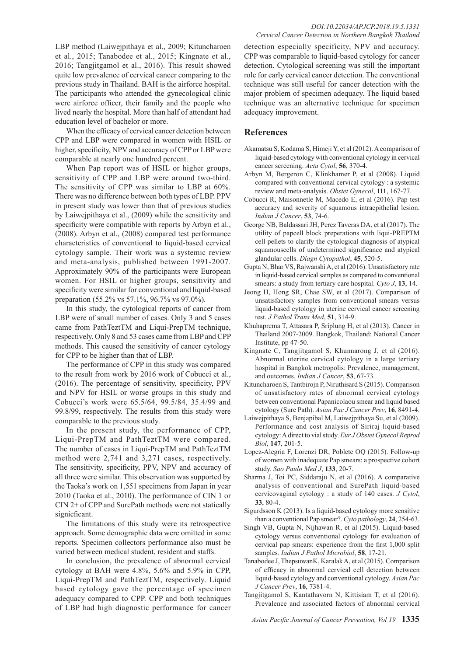When the efficacy of cervical cancer detection between CPP and LBP were compared in women with HSIL or higher, specificity, NPV and accuracy of CPP or LBP were comparable at nearly one hundred percent.

When Pap report was of HSIL or higher groups, sensitivity of CPP and LBP were around two-third. The sensitivity of CPP was similar to LBP at 60%. There was no difference between both types of LBP. PPV in present study was lower than that of previous studies by Laiwejpithaya et al., (2009) while the sensitivity and specificity were compatible with reports by Arbyn et al., (2008). Arbyn et al., (2008) compared test performance characteristics of conventional to liquid-based cervical cytology sample. Their work was a systemic review and meta-analysis, published between 1991-2007. Approximately 90% of the participants were European women. For HSIL or higher groups, sensitivity and specificity were similar for conventional and liquid-based preparation (55.2% vs 57.1%, 96.7% vs 97.0%).

In this study, the cytological reports of cancer from LBP were of small number of cases. Only 3 and 5 cases came from PathTeztTM and Liqui-PrepTM technique, respectively. Only 8 and 53 cases came from LBP and CPP methods. This caused the sensitivity of cancer cytology for CPP to be higher than that of LBP.

The performance of CPP in this study was compared to the result from work by 2016 work of Cobucci et al., (2016). The percentage of sensitivity, specificity, PPV and NPV for HSIL or worse groups in this study and Cobucci's work were 65.5/64, 99.5/84, 35.4/99 and 99.8/99, respectively. The results from this study were comparable to the previous study.

In the present study, the performance of CPP, Liqui-PrepTM and PathTeztTM were compared. The number of cases in Liqui-PrepTM and PathTeztTM method were 2,741 and 3,271 cases, respectively. The sensitivity, specificity, PPV, NPV and accuracy of all three were similar. This observation was supported by the Taoka's work on 1,551 specimens from Japan in year 2010 (Taoka et al., 2010). The performance of CIN 1 or CIN 2+ of CPP and SurePath methods were not statically signicficant.

The limitations of this study were its retrospective approach. Some demographic data were omitted in some reports. Specimen collectors performance also must be varied between medical student, resident and staffs.

In conclusion, the prevalence of abnormal cervical cytology at BAH were 4.8%, 5.6% and 5.9% in CPP, Liqui-PrepTM and PathTeztTM, respectively. Liquid based cytology gave the percentage of specimen adequacy compared to CPP. CPP and both techniques of LBP had high diagnostic performance for cancer

detection especially specificity, NPV and accuracy. CPP was comparable to liquid-based cytology for cancer detection. Cytological screening was still the important role for early cervical cancer detection. The conventional technique was still useful for cancer detection with the major problem of specimen adequacy. The liquid based technique was an alternative technique for specimen adequacy improvement.

## **References**

- Akamatsu S, Kodama S, Himeji Y, et al (2012). A comparison of liquid-based cytology with conventional cytology in cervical cancer screening. *Acta Cytol*, **56**, 370-4.
- Arbyn M, Bergeron C, Klinkhamer P, et al (2008). Liquid compared with conventional cervical cytology : a systemic review and meta-analysis. *Obstet Gynecol*, **111**, 167-77.
- Cobucci R, Maisonnetle M, Macedo E, et al (2016). Pap test accuracy and severity of squamous intraepithelial lesion. *Indian J Cancer*, **53**, 74-6.
- George NB, Baldassari JH, Perez Taveras DA, et al (2017). The utility of papcell block preperations with liqui-PREPTM cell pellets to clarify the cytological diagnosis of atypical squamouscells of undetermined significance and atypical glandular cells. *Diagn Cytopathol*, **45**, 520-5.
- Gupta N, Bhar VS, Rajwanshi A, et al (2016). Unsatisfactory rate in liquid-based cervical samples as compared to conventional smears: a study from tertiary care hospital. *Cyto J*, **13**, 14.
- Jeong H, Hong SR, Chae SW, et al (2017). Comparison of unsatisfactory samples from conventional smears versus liquid-based cytology in uterine cervical cancer screening test. *J Pathol Trans Med*, **51**, 314-9.
- Khuhaprema T, Attasara P, Sriplung H, et al (2013). Cancer in Thailand 2007-2009. Bangkok, Thailand: National Cancer Institute, pp 47-50.
- Kingnate C, Tangjitgamol S, Khunnarong J, et al (2016). Abnormal uterine cervical cytology in a large tertiary hospital in Bangkok metropolis: Prevalence, management, and outcomes. *Indian J Cancer*, **53**, 67-73.
- Kituncharoen S, Tantbirojn P, Niruthisard S (2015). Comparison of unsatisfactory rates of abnormal cervical cytology between conventional Papanicolaou smear and liquid based cytology (Sure Path). *Asian Pac J Cancer Prev*, **16**, 8491-4.
- Laiwejpithaya S, Benjapibal M, Laiwejpithaya Su, et al (2009). Performance and cost analysis of Siriraj liquid-based cytology: A direct to vial study. *Eur J Obstet Gynecol Reprod Biol*, **147**, 201-5.
- Lopez-Alegria F, Lorenzi DR, Poblete OQ (2015). Follow-up of women with inadequate Pap smears: a prospective cohort study. *Sao Paulo Med J*, **133**, 20-7.
- Sharma J, Toi PC, Siddaraju N, et al (2016). A comparative analysis of conventional and SurePath liquid-based cervicovaginal cytology : a study of 140 cases. *J Cytol*, **33**, 80-4.
- Sigurdsson K (2013). Is a liquid-based cytology more sensitive than a conventional Pap smear?. *Cyto pathology*, **24**, 254-63.
- Singh VB, Gupta N, Nijhawan R, et al (2015). Liquid-based cytology versus conventional cytology for evaluation of cervical pap smears: experience from the first 1,000 split samples. *Iadian J Pathol Microbiol*, **58**, 17-21.
- Tanabodee J, ThepsuwanK, Karalak A, et al (2015). Comparison of efficacy in abnormal cervical cell detection between liquid-based cytology and conventional cytology. *Asian Pac J Cancer Prev*, **16**, 7381-4.
- Tangjitgamol S, Kantathavorn N, Kittisiam T, et al (2016). Prevalence and associated factors of abnormal cervical